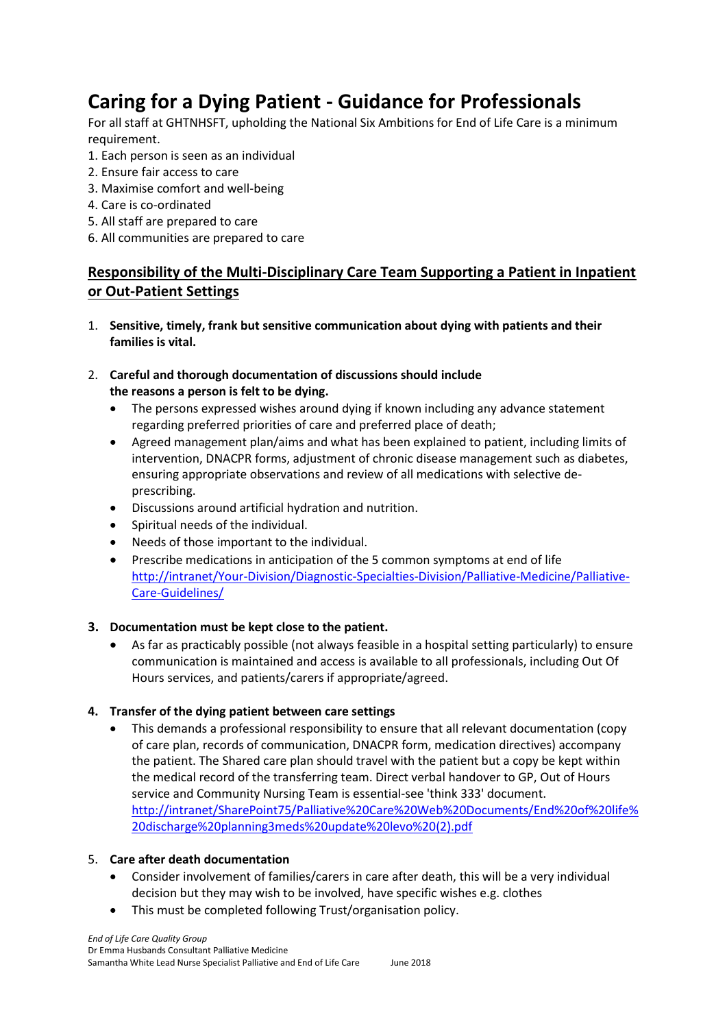# **Caring for a Dying Patient - Guidance for Professionals**

For all staff at GHTNHSFT, upholding the National Six Ambitions for End of Life Care is a minimum requirement.

- 1. Each person is seen as an individual
- 2. Ensure fair access to care
- 3. Maximise comfort and well-being
- 4. Care is co-ordinated
- 5. All staff are prepared to care
- 6. All communities are prepared to care

# **Responsibility of the Multi-Disciplinary Care Team Supporting a Patient in Inpatient or Out-Patient Settings**

1. **Sensitive, timely, frank but sensitive communication about dying with patients and their families is vital.**

## 2. **Careful and thorough documentation of discussions should include the reasons a person is felt to be dying.**

- The persons expressed wishes around dying if known including any advance statement regarding preferred priorities of care and preferred place of death;
- Agreed management plan/aims and what has been explained to patient, including limits of intervention, DNACPR forms, adjustment of chronic disease management such as diabetes, ensuring appropriate observations and review of all medications with selective deprescribing.
- Discussions around artificial hydration and nutrition.
- Spiritual needs of the individual.
- Needs of those important to the individual.
- Prescribe medications in anticipation of the 5 common symptoms at end of life [http://intranet/Your-Division/Diagnostic-Specialties-Division/Palliative-Medicine/Palliative-](http://intranet/Your-Division/Diagnostic-Specialties-Division/Palliative-Medicine/Palliative-Care-Guidelines/)[Care-Guidelines/](http://intranet/Your-Division/Diagnostic-Specialties-Division/Palliative-Medicine/Palliative-Care-Guidelines/)

## **3. Documentation must be kept close to the patient.**

 As far as practicably possible (not always feasible in a hospital setting particularly) to ensure communication is maintained and access is available to all professionals, including Out Of Hours services, and patients/carers if appropriate/agreed.

## **4. Transfer of the dying patient between care settings**

 This demands a professional responsibility to ensure that all relevant documentation (copy of care plan, records of communication, DNACPR form, medication directives) accompany the patient. The Shared care plan should travel with the patient but a copy be kept within the medical record of the transferring team. Direct verbal handover to GP, Out of Hours service and Community Nursing Team is essential-see 'think 333' document. [http://intranet/SharePoint75/Palliative%20Care%20Web%20Documents/End%20of%20life%](http://intranet/SharePoint75/Palliative%20Care%20Web%20Documents/End%20of%20life%20discharge%20planning3meds%20update%20levo%20(2).pdf) [20discharge%20planning3meds%20update%20levo%20\(2\).pdf](http://intranet/SharePoint75/Palliative%20Care%20Web%20Documents/End%20of%20life%20discharge%20planning3meds%20update%20levo%20(2).pdf)

## 5. **Care after death documentation**

- Consider involvement of families/carers in care after death, this will be a very individual decision but they may wish to be involved, have specific wishes e.g. clothes
- This must be completed following Trust/organisation policy.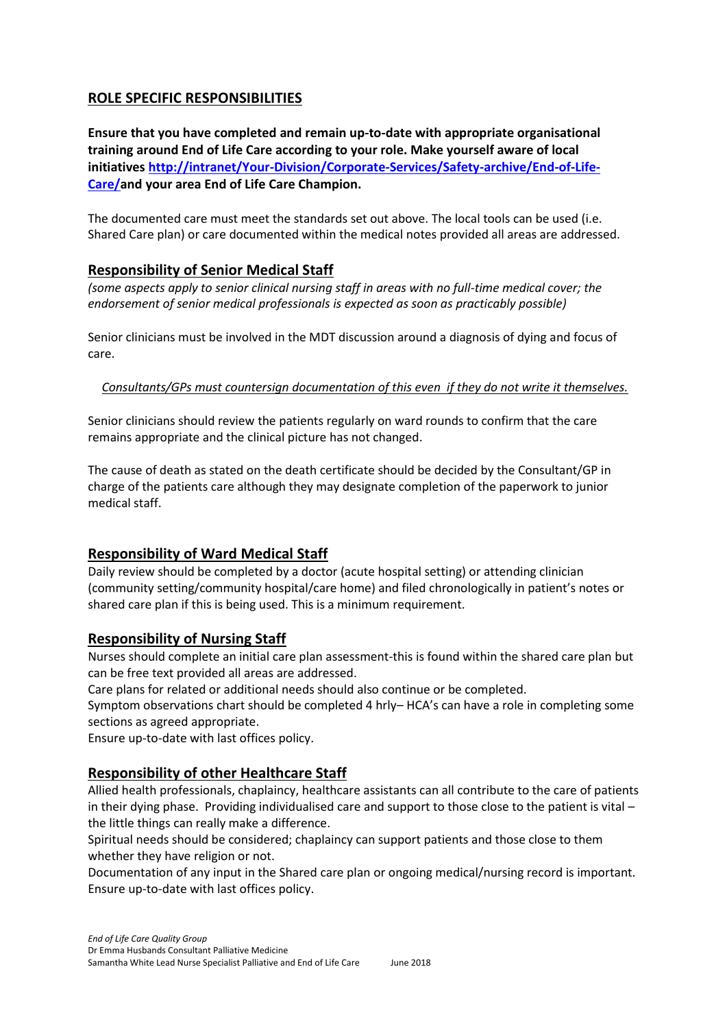# **ROLE SPECIFIC RESPONSIBILITIES**

**Ensure that you have completed and remain up-to-date with appropriate organisational training around End of Life Care according to your role. Make yourself aware of local initiatives [http://intranet/Your-Division/Corporate-Services/Safety-archive/End-of-Life-](http://intranet/Your-Division/Corporate-Services/Safety-archive/End-of-Life-Care/)[Care/a](http://intranet/Your-Division/Corporate-Services/Safety-archive/End-of-Life-Care/)nd your area End of Life Care Champion.**

The documented care must meet the standards set out above. The local tools can be used (i.e. Shared Care plan) or care documented within the medical notes provided all areas are addressed.

# **Responsibility of Senior Medical Staff**

*(some aspects apply to senior clinical nursing staff in areas with no full-time medical cover; the endorsement of senior medical professionals is expected as soon as practicably possible)* 

Senior clinicians must be involved in the MDT discussion around a diagnosis of dying and focus of care.

## *Consultants/GPs must countersign documentation of this even if they do not write it themselves.*

Senior clinicians should review the patients regularly on ward rounds to confirm that the care remains appropriate and the clinical picture has not changed.

The cause of death as stated on the death certificate should be decided by the Consultant/GP in charge of the patients care although they may designate completion of the paperwork to junior medical staff.

# **Responsibility of Ward Medical Staff**

Daily review should be completed by a doctor (acute hospital setting) or attending clinician (community setting/community hospital/care home) and filed chronologically in patient's notes or shared care plan if this is being used. This is a minimum requirement.

# **Responsibility of Nursing Staff**

Nurses should complete an initial care plan assessment-this is found within the shared care plan but can be free text provided all areas are addressed.

Care plans for related or additional needs should also continue or be completed.

Symptom observations chart should be completed 4 hrly– HCA's can have a role in completing some sections as agreed appropriate.

Ensure up-to-date with last offices policy.

# **Responsibility of other Healthcare Staff**

Allied health professionals, chaplaincy, healthcare assistants can all contribute to the care of patients in their dying phase. Providing individualised care and support to those close to the patient is vital – the little things can really make a difference.

Spiritual needs should be considered; chaplaincy can support patients and those close to them whether they have religion or not.

Documentation of any input in the Shared care plan or ongoing medical/nursing record is important. Ensure up-to-date with last offices policy.